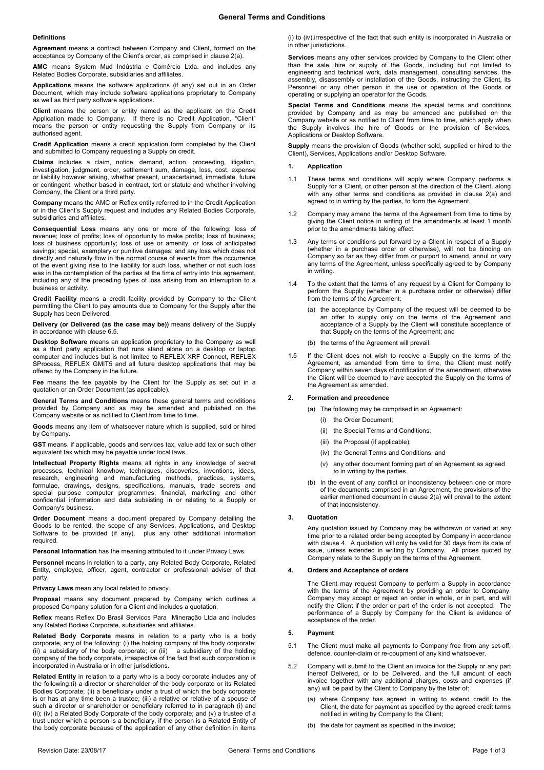#### **Definitions**

**Agreement** means a contract between Company and Client, formed on the acceptance by Company of the Client's order, as comprised in claus[e 2\(a\).](#page-0-0)

**AMC** means System Mud Indústria e Comércio Ltda. and includes any Related Bodies Corporate, subsidiaries and affiliates.

**Applications** means the software applications (if any) set out in an Order Document, which may include software applications proprietary to Company as well as third party software applications.

**Client** means the person or entity named as the applicant on the Credit Application made to Company. If there is no Credit Application, "Client" means the person or entity requesting the Supply from Company or its authorised agent.

**Credit Application** means a credit application form completed by the Client and submitted to Company requesting a Supply on credit.

**Claims** includes a claim, notice, demand, action, proceeding, litigation, investigation, judgment, order, settlement sum, damage, loss, cost, expense or liability however arising, whether present, unascertained, immediate, future or contingent, whether based in contract, tort or statute and whether involving Company, the Client or a third party.

**Company** means the AMC or Reflex entity referred to in the Credit Application or in the Client's Supply request and includes any Related Bodies Corporate, subsidiaries and affiliates.

**Consequential Loss** means any one or more of the following: loss of revenue; loss of profits; loss of opportunity to make profits; loss of business; loss of business opportunity; loss of use or amenity, or loss of anticipated savings; special, exemplary or punitive damages; and any loss which does not directly and naturally flow in the normal course of events from the occurrence of the event giving rise to the liability for such loss, whether or not such loss was in the contemplation of the parties at the time of entry into this agreement, including any of the preceding types of loss arising from an interruption to a business or activity.

**Credit Facility** means a credit facility provided by Company to the Client permitting the Client to pay amounts due to Company for the Supply after the Supply has been Delivered.

**Delivery (or Delivered (as the case may be))** means delivery of the Supply in accordance with claus[e 6.5.](#page-1-0)

**Desktop Software** means an application proprietary to the Company as well as a third party application that runs stand alone on a desktop or laptop computer and includes but is not limited to REFLEX XRF Connect, REFLEX SProcess, REFLEX GMIT5 and all future desktop applications that may be offered by the Company in the future.

**Fee** means the fee payable by the Client for the Supply as set out in a quotation or an Order Document (as applicable).

**General Terms and Conditions** means these general terms and conditions provided by Company and as may be amended and published on the Company website or as notified to Client from time to time.

**Goods** means any item of whatsoever nature which is supplied, sold or hired by Company.

**GST** means, if applicable, goods and services tax, value add tax or such other equivalent tax which may be payable under local laws.

**Intellectual Property Rights** means all rights in any knowledge of secret processes, technical knowhow, techniques, discoveries, inventions, ideas, research, engineering and manufacturing methods, practices, systems, formulae, drawings, designs, specifications, manuals, trade secrets and special purpose computer programmes, financial, marketing and other confidential information and data subsisting in or relating to a Supply or Company's business.

**Order Document** means a document prepared by Company detailing the Goods to be rented, the scope of any Services, Applications, and Desktop Software to be provided (if any), plus any other additional information required.

**Personal Information** has the meaning attributed to it under Privacy Laws.

**Personnel** means in relation to a party, any Related Body Corporate, Related Entity, employee, officer, agent, contractor or professional adviser of that party.

**Privacy Laws** mean any local related to privacy.

**Proposal** means any document prepared by Company which outlines a proposed Company solution for a Client and includes a quotation.

**Reflex** means Reflex Do Brasil Servicos Para Mineração Ltda and includes any Related Bodies Corporate, subsidiaries and affiliates.

**Related Body Corporate** means in relation to a party who is a body corporate, any of the following: (i) the holding company of the body corporate; (ii) a subsidiary of the body corporate; or (iii) a subsidiary of the holding company of the body corporate, irrespective of the fact that such corporation is incorporated in Australia or in other jurisdictions.

**Related Entity** in relation to a party who is a body corporate includes any of the following:(i) a director or shareholder of the body corporate or its Related Bodies Corporate; (ii) a beneficiary under a trust of which the body corporate is or has at any time been a trustee; (iii) a relative or relative of a spouse of such a director or shareholder or beneficiary referred to in paragraph (i) and (ii); (iv) a Related Body Corporate of the body corporate; and (v) a trustee of a trust under which a person is a beneficiary, if the person is a Related Entity of the body corporate because of the application of any other definition in items

(i) to (iv),irrespective of the fact that such entity is incorporated in Australia or in other jurisdictions.

**Services** means any other services provided by Company to the Client other than the sale, hire or supply of the Goods, including but not limited to engineering and technical work, data management, consulting services, the assembly, disassembly or installation of the Goods, instructing the Client, its Personnel or any other person in the use or operation of the Goods or operating or supplying an operator for the Goods.

**Special Terms and Conditions** means the special terms and conditions provided by Company and as may be amended and published on the Company website or as notified to Client from time to time, which apply when the Supply involves the hire of Goods or the provision of Services, Applications or Desktop Software.

**Supply** means the provision of Goods (whether sold, supplied or hired to the Client), Services, Applications and/or Desktop Software.

## **1. Application**

- 1.1 These terms and conditions will apply where Company performs a Supply for a Client, or other person at the direction of the Client, along with any other terms and conditions as provided in clause 2(a) and agreed to in writing by the parties, to form the Agreement.
- 1.2 Company may amend the terms of the Agreement from time to time by giving the Client notice in writing of the amendments at least 1 month prior to the amendments taking effect.
- 1.3 Any terms or conditions put forward by a Client in respect of a Supply (whether in a purchase order or otherwise), will not be binding on Company so far as they differ from or purport to amend, annul or vary any terms of the Agreement, unless specifically agreed to by Company in writing.
- 1.4 To the extent that the terms of any request by a Client for Company to perform the Supply (whether in a purchase order or otherwise) differ from the terms of the Agreement:
	- (a) the acceptance by Company of the request will be deemed to be an offer to supply only on the terms of the Agreement and acceptance of a Supply by the Client will constitute acceptance of that Supply on the terms of the Agreement; and
	- (b) the terms of the Agreement will prevail.
- 1.5 If the Client does not wish to receive a Supply on the terms of the Agreement, as amended from time to time, the Client must notify Company within seven days of notification of the amendment, otherwise the Client will be deemed to have accepted the Supply on the terms of the Agreement as amended.

## <span id="page-0-0"></span>**2. Formation and precedence**

- (a) The following may be comprised in an Agreement:
	- (i) the Order Document;
	- (ii) the Special Terms and Conditions;
	- (iii) the Proposal (if applicable);
	- (iv) the General Terms and Conditions; and
	- (v) any other document forming part of an Agreement as agreed to in writing by the parties.
- (b) In the event of any conflict or inconsistency between one or more of the documents comprised in an Agreement, the provisions of the earlier mentioned document in clause [2\(a\)](#page-0-0) will prevail to the extent of that inconsistency.

## **3. Quotation**

Any quotation issued by Company may be withdrawn or varied at any time prior to a related order being accepted by Company in accordance with claus[e 4.](#page-0-1) A quotation will only be valid for 30 days from its date of issue, unless extended in writing by Company. All prices quoted by Company relate to the Supply on the terms of the Agreement.

## <span id="page-0-1"></span>**4. Orders and Acceptance of orders**

The Client may request Company to perform a Supply in accordance with the terms of the Agreement by providing an order to Company. Company may accept or reject an order in whole, or in part, and will notify the Client if the order or part of the order is not accepted. The performance of a Supply by Company for the Client is evidence of acceptance of the order.

## **5. Payment**

- 5.1 The Client must make all payments to Company free from any set-off, defence, counter-claim or re-coupment of any kind whatsoever.
- 5.2 Company will submit to the Client an invoice for the Supply or any part thereof Delivered, or to be Delivered, and the full amount of each invoice together with any additional charges, costs and expenses (if any) will be paid by the Client to Company by the later of:
	- (a) where Company has agreed in writing to extend credit to the Client, the date for payment as specified by the agreed credit terms notified in writing by Company to the Client;
	- (b) the date for payment as specified in the invoice;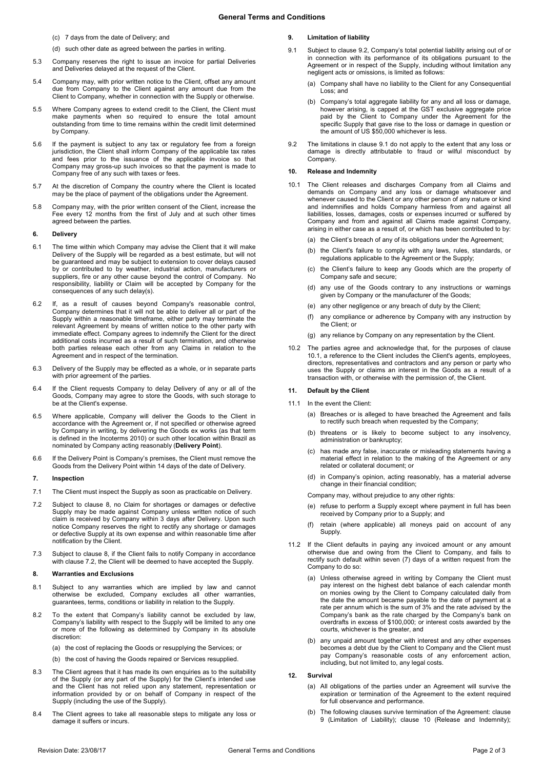- (c) 7 days from the date of Delivery; and
- (d) such other date as agreed between the parties in writing.
- 5.3 Company reserves the right to issue an invoice for partial Deliveries and Deliveries delayed at the request of the Client.
- 5.4 Company may, with prior written notice to the Client, offset any amount due from Company to the Client against any amount due from the Client to Company, whether in connection with the Supply or otherwise.
- 5.5 Where Company agrees to extend credit to the Client, the Client must make payments when so required to ensure the total amount outstanding from time to time remains within the credit limit determined by Company.
- 5.6 If the payment is subject to any tax or regulatory fee from a foreign jurisdiction, the Client shall inform Company of the applicable tax rates and fees prior to the issuance of the applicable invoice so that Company may gross-up such invoices so that the payment is made to Company free of any such with taxes or fees.
- 5.7 At the discretion of Company the country where the Client is located may be the place of payment of the obligations under the Agreement.
- 5.8 Company may, with the prior written consent of the Client, increase the Fee every 12 months from the first of July and at such other times agreed between the parties.

## **6. Delivery**

- 6.1 The time within which Company may advise the Client that it will make Delivery of the Supply will be regarded as a best estimate, but will not be guaranteed and may be subject to extension to cover delays caused by or contributed to by weather, industrial action, manufacturers or suppliers, fire or any other cause beyond the control of Company. No responsibility, liability or Claim will be accepted by Company for the consequences of any such delay(s).
- 6.2 If, as a result of causes beyond Company's reasonable control, Company determines that it will not be able to deliver all or part of the Supply within a reasonable timeframe, either party may terminate the relevant Agreement by means of written notice to the other party with immediate effect. Company agrees to indemnify the Client for the direct additional costs incurred as a result of such termination, and otherwise both parties release each other from any Claims in relation to the Agreement and in respect of the termination.
- 6.3 Delivery of the Supply may be effected as a whole, or in separate parts with prior agreement of the parties.
- 6.4 If the Client requests Company to delay Delivery of any or all of the Goods, Company may agree to store the Goods, with such storage to be at the Client's expense.
- <span id="page-1-0"></span>6.5 Where applicable, Company will deliver the Goods to the Client in accordance with the Agreement or, if not specified or otherwise agreed by Company in writing, by delivering the Goods ex works (as that term is defined in the Incoterms 2010) or such other location within Brazil as nominated by Company acting reasonably (**Delivery Point**).
- 6.6 If the Delivery Point is Company's premises, the Client must remove the Goods from the Delivery Point within 14 days of the date of Delivery.

#### **7. Inspection**

- 7.1 The Client must inspect the Supply as soon as practicable on Delivery.
- <span id="page-1-2"></span>7.2 Subject to clause [8,](#page-1-1) no Claim for shortages or damages or defective Supply may be made against Company unless written notice of such claim is received by Company within 3 days after Delivery. Upon such notice Company reserves the right to rectify any shortage or damages or defective Supply at its own expense and within reasonable time after notification by the Client.
- 7.3 Subject to clause [8,](#page-1-1) if the Client fails to notify Company in accordance with clause [7.2,](#page-1-2) the Client will be deemed to have accepted the Supply.

## <span id="page-1-1"></span>**8. Warranties and Exclusions**

- 8.1 Subject to any warranties which are implied by law and cannot otherwise be excluded, Company excludes all other warranties, guarantees, terms, conditions or liability in relation to the Supply.
- 8.2 To the extent that Company's liability cannot be excluded by law, Company's liability with respect to the Supply will be limited to any one or more of the following as determined by Company in its absolute discretion:
	- (a) the cost of replacing the Goods or resupplying the Services; or
	- (b) the cost of having the Goods repaired or Services resupplied.
- 8.3 The Client agrees that it has made its own enquiries as to the suitability of the Supply (or any part of the Supply) for the Client's intended use and the Client has not relied upon any statement, representation or information provided by or on behalf of Company in respect of the Supply (including the use of the Supply).
- 8.4 The Client agrees to take all reasonable steps to mitigate any loss or damage it suffers or incurs.

## <span id="page-1-6"></span>**9. Limitation of liability**

- <span id="page-1-4"></span>9.1 Subject to claus[e 9.2,](#page-1-3) Company's total potential liability arising out of or in connection with its performance of its obligations pursuant to the Agreement or in respect of the Supply, including without limitation any negligent acts or omissions, is limited as follows:
	- (a) Company shall have no liability to the Client for any Consequential Loss; and
	- (b) Company's total aggregate liability for any and all loss or damage, however arising, is capped at the GST exclusive aggregate price paid by the Client to Company under the Agreement for the specific Supply that gave rise to the loss or damage in question or the amount of US \$50,000 whichever is less.
- <span id="page-1-3"></span>9.2 The limitations in clause [9.1](#page-1-4) do not apply to the extent that any loss or damage is directly attributable to fraud or wilful misconduct by Company.

#### <span id="page-1-7"></span>**10. Release and Indemnity**

- <span id="page-1-5"></span>10.1 The Client releases and discharges Company from all Claims and demands on Company and any loss or damage whatsoever and whenever caused to the Client or any other person of any nature or kind and indemnifies and holds Company harmless from and against all liabilities, losses, damages, costs or expenses incurred or suffered by Company and from and against all Claims made against Company, arising in either case as a result of, or which has been contributed to by:
	- (a) the Client's breach of any of its obligations under the Agreement;
	- (b) the Client's failure to comply with any laws, rules, standards, or regulations applicable to the Agreement or the Supply;
	- (c) the Client's failure to keep any Goods which are the property of Company safe and secure;
	- (d) any use of the Goods contrary to any instructions or warnings given by Company or the manufacturer of the Goods;
	- (e) any other negligence or any breach of duty by the Client;
	- (f) any compliance or adherence by Company with any instruction by the Client; or
	- (g) any reliance by Company on any representation by the Client.
- 10.2 The parties agree and acknowledge that, for the purposes of clause [10.1,](#page-1-5) a reference to the Client includes the Client's agents, employees, directors, representatives and contractors and any person or party who uses the Supply or claims an interest in the Goods as a result of a transaction with, or otherwise with the permission of, the Client.

## <span id="page-1-8"></span>**11. Default by the Client**

- 11.1 In the event the Client:
	- (a) Breaches or is alleged to have breached the Agreement and fails to rectify such breach when requested by the Company;
	- (b) threatens or is likely to become subject to any insolvency, administration or bankruptcy;
	- (c) has made any false, inaccurate or misleading statements having a material effect in relation to the making of the Agreement or any related or collateral document; or
	- in Company's opinion, acting reasonably, has a material adverse change in their financial condition;
	- Company may, without prejudice to any other rights:
	- (e) refuse to perform a Supply except where payment in full has been received by Company prior to a Supply; and
	- (f) retain (where applicable) all moneys paid on account of any Supply.
- 11.2 If the Client defaults in paying any invoiced amount or any amount otherwise due and owing from the Client to Company, and fails to rectify such default within seven (7) days of a written request from the Company to do so:
	- (a) Unless otherwise agreed in writing by Company the Client must pay interest on the highest debt balance of each calendar month on monies owing by the Client to Company calculated daily from the date the amount became payable to the date of payment at a rate per annum which is the sum of 3% and the rate advised by the Company's bank as the rate charged by the Company's bank on overdrafts in excess of \$100,000; or interest costs awarded by the courts, whichever is the greater, and
	- (b) any unpaid amount together with interest and any other expenses becomes a debt due by the Client to Company and the Client must pay Company's reasonable costs of any enforcement action, including, but not limited to, any legal costs.

## <span id="page-1-9"></span>**12. Survival**

- (a) All obligations of the parties under an Agreement will survive the expiration or termination of the Agreement to the extent required for full observance and performance.
- (b) The following clauses survive termination of the Agreement: clause [9](#page-1-6) (Limitation of Liability); clause [10](#page-1-7) (Release and Indemnity);